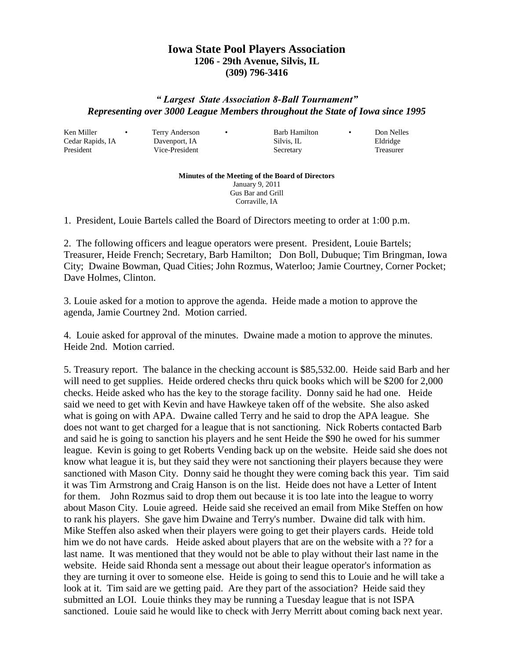## **Iowa State Pool Players Association 1206 - 29th Avenue, Silvis, IL (309) 796-3416**

## *" Largest State Association 8-Ball Tournament" Representing over 3000 League Members throughout the State of Iowa since 1995*

Ken Miller • Terry Anderson • Barb Hamilton • Don Nelles

Cedar Rapids, IA Davenport, IA Silvis, IL Eldridge President Vice-President Secretary Treasurer

**Minutes of the Meeting of the Board of Directors** January 9, 2011 Gus Bar and Grill Corraville, IA

1. President, Louie Bartels called the Board of Directors meeting to order at 1:00 p.m.

2. The following officers and league operators were present. President, Louie Bartels; Treasurer, Heide French; Secretary, Barb Hamilton; Don Boll, Dubuque; Tim Bringman, Iowa City; Dwaine Bowman, Quad Cities; John Rozmus, Waterloo; Jamie Courtney, Corner Pocket; Dave Holmes, Clinton.

3. Louie asked for a motion to approve the agenda. Heide made a motion to approve the agenda, Jamie Courtney 2nd. Motion carried.

4. Louie asked for approval of the minutes. Dwaine made a motion to approve the minutes. Heide 2nd. Motion carried.

5. Treasury report. The balance in the checking account is \$85,532.00. Heide said Barb and her will need to get supplies. Heide ordered checks thru quick books which will be \$200 for 2,000 checks. Heide asked who has the key to the storage facility. Donny said he had one. Heide said we need to get with Kevin and have Hawkeye taken off of the website. She also asked what is going on with APA. Dwaine called Terry and he said to drop the APA league. She does not want to get charged for a league that is not sanctioning. Nick Roberts contacted Barb and said he is going to sanction his players and he sent Heide the \$90 he owed for his summer league. Kevin is going to get Roberts Vending back up on the website. Heide said she does not know what league it is, but they said they were not sanctioning their players because they were sanctioned with Mason City. Donny said he thought they were coming back this year. Tim said it was Tim Armstrong and Craig Hanson is on the list. Heide does not have a Letter of Intent for them. John Rozmus said to drop them out because it is too late into the league to worry about Mason City. Louie agreed. Heide said she received an email from Mike Steffen on how to rank his players. She gave him Dwaine and Terry's number. Dwaine did talk with him. Mike Steffen also asked when their players were going to get their players cards. Heide told him we do not have cards. Heide asked about players that are on the website with a ?? for a last name. It was mentioned that they would not be able to play without their last name in the website. Heide said Rhonda sent a message out about their league operator's information as they are turning it over to someone else. Heide is going to send this to Louie and he will take a look at it. Tim said are we getting paid. Are they part of the association? Heide said they submitted an LOI. Louie thinks they may be running a Tuesday league that is not ISPA sanctioned. Louie said he would like to check with Jerry Merritt about coming back next year.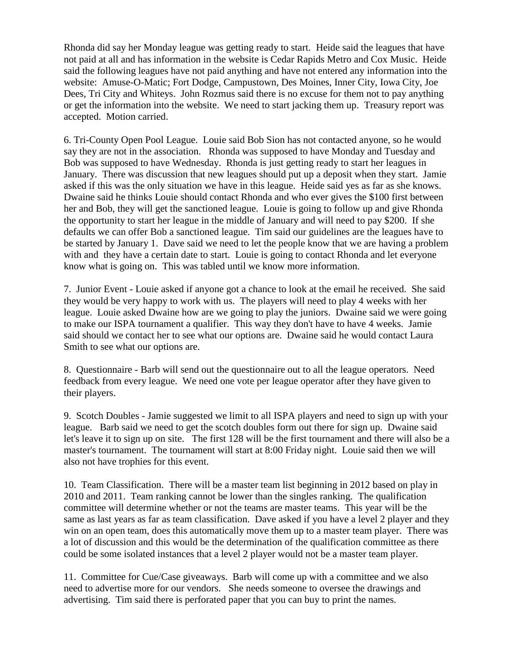Rhonda did say her Monday league was getting ready to start. Heide said the leagues that have not paid at all and has information in the website is Cedar Rapids Metro and Cox Music. Heide said the following leagues have not paid anything and have not entered any information into the website: Amuse-O-Matic; Fort Dodge, Campustown, Des Moines, Inner City, Iowa City, Joe Dees, Tri City and Whiteys. John Rozmus said there is no excuse for them not to pay anything or get the information into the website. We need to start jacking them up. Treasury report was accepted. Motion carried.

6. Tri-County Open Pool League. Louie said Bob Sion has not contacted anyone, so he would say they are not in the association. Rhonda was supposed to have Monday and Tuesday and Bob was supposed to have Wednesday. Rhonda is just getting ready to start her leagues in January. There was discussion that new leagues should put up a deposit when they start. Jamie asked if this was the only situation we have in this league. Heide said yes as far as she knows. Dwaine said he thinks Louie should contact Rhonda and who ever gives the \$100 first between her and Bob, they will get the sanctioned league. Louie is going to follow up and give Rhonda the opportunity to start her league in the middle of January and will need to pay \$200. If she defaults we can offer Bob a sanctioned league. Tim said our guidelines are the leagues have to be started by January 1. Dave said we need to let the people know that we are having a problem with and they have a certain date to start. Louie is going to contact Rhonda and let everyone know what is going on. This was tabled until we know more information.

7. Junior Event - Louie asked if anyone got a chance to look at the email he received. She said they would be very happy to work with us. The players will need to play 4 weeks with her league. Louie asked Dwaine how are we going to play the juniors. Dwaine said we were going to make our ISPA tournament a qualifier. This way they don't have to have 4 weeks. Jamie said should we contact her to see what our options are. Dwaine said he would contact Laura Smith to see what our options are.

8. Questionnaire - Barb will send out the questionnaire out to all the league operators. Need feedback from every league. We need one vote per league operator after they have given to their players.

9. Scotch Doubles - Jamie suggested we limit to all ISPA players and need to sign up with your league. Barb said we need to get the scotch doubles form out there for sign up. Dwaine said let's leave it to sign up on site. The first 128 will be the first tournament and there will also be a master's tournament. The tournament will start at 8:00 Friday night. Louie said then we will also not have trophies for this event.

10. Team Classification. There will be a master team list beginning in 2012 based on play in 2010 and 2011. Team ranking cannot be lower than the singles ranking. The qualification committee will determine whether or not the teams are master teams. This year will be the same as last years as far as team classification. Dave asked if you have a level 2 player and they win on an open team, does this automatically move them up to a master team player. There was a lot of discussion and this would be the determination of the qualification committee as there could be some isolated instances that a level 2 player would not be a master team player.

11. Committee for Cue/Case giveaways. Barb will come up with a committee and we also need to advertise more for our vendors. She needs someone to oversee the drawings and advertising. Tim said there is perforated paper that you can buy to print the names.